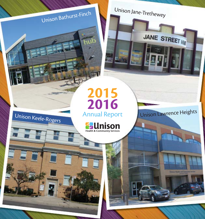Unison Jane-Trethewey

# Unison Bathurst-Finch

# Unison Keele-Rogers

# 2015 2016 Annual Report

hub

**Pall Mison** 

Unison Lawrence Heights

JANE STREET HE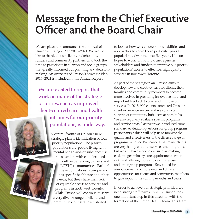# Message from the Chief Executive Officer and the Board Chair



We are excited to report that work on many of the strategic priorities, such as improved client-centred care and health outcomes for our priority populations, is underway.

> A central feature of Unison's new strategic plan is identification of four priority populations. The priority populations are: people living with mental health and/or substance use issues, seniors with complex needs,

Michelle Joseph

Laurelle Knox

youth experiencing barriers and LGBTQ+ communities. Each of these populations is unique and has specific healthcare and other needs, but they share their lack of equitable access to services and programs in northwest Toronto. While Unison will continue to serve a very diverse range of clients and communities, our staff have started

to look at how we can deepen our abilities and approaches to serve these particular priority populations. Over the next five years, Unison hopes to work with our partner agencies, stakeholders and funders to improve our priority populations' access to effective, high quality services in northwest Toronto.

As part of the strategic plan, Unison aims to develop new and creative ways for clients, their families and community members to become more involved in providing innovative input and important feedback to plan and improve our services. In 2015, 900 clients completed Unison's client experience survey and we conducted surveys of community hub users at both hubs. We also regularly evaluate specific programs and service areas. Last year we introduced some standard evaluation questions for group program participants, which will help us to monitor the quality and effectiveness of the diverse range of programs we offer. We learned that many clients are very happy with our services and programs, but we still have work to do, such as making it easier to get primary care appointments when sick, and offering more choices in exercise and other group programs. Stay tuned for announcements of more new and different opportunities for clients and community members to give input in the coming months and years.

In order to achieve our strategic priorities, we need strong staff teams. In 2015, Unison took one important step in this direction with the formation of the Urban Health Team. This team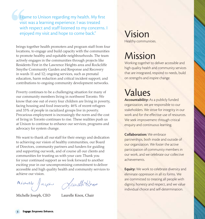I came to Unison regarding my health. My first visit was a learning experience. I was treated with respect and staff listened to my concerns. I enjoyed my visit and hope to come back."

brings together health promoters and program staff from four locations, to engage and build capacity with the communities to promote healthy and equitable neighbourhoods. The team actively engages in the communities through projects like Residents First in the Lawrence Heights area and Rockcliffe Smythe Community Garden and Response and Recovery in wards 11 and 12; ongoing services, such as prenatal education, harm reduction and critical incident support; and contributions to ongoing community development networks.

Poverty continues to be a challenging situation for many of our community members living in northwest Toronto. We know that one out of every four children are living in poverty, facing housing and food insecurity. 46% of recent refugees and 33% of people in racialized groups live in poverty. Precarious employment is increasingly the norm and the cost of living in Toronto continues to rise. These realities push us at Unison to continue to enhance our services, programs and advocacy for system change.

We want to thank all our staff for their energy and dedication to achieving our vision of healthy communities, our Board of Directors, community partners and funders for guiding and supporting ourwork, and of course all our clients and communities for trusting us with your care. Thank you for your continued support as we look forward to another exciting year in our uncompromising commitment to deliver accessible and high quality health and community services to achieve our vision.

Michelle Jaeph Jamelh Rnas

#### Michelle Joseph, CEO Laurelle Knox, Chair

## Vision Healthy communities.

## Mission

Working together to deliver accessible and high quality health and community services that are integrated, respond to needs, build on strengths and inspire change.

## Values

Accountability: As a publicly funded organization, we are responsible to our stakeholders. We strive for integrity in our work and for the effective use of resources. We seek improvement through critical enquiry and continuous learning.

#### Collaboration: We embrace

partnerships, both inside and outside of our organization. We foster the active participation of community members in our work, and we celebrate our collective achievements.

**Equity:** We work to celebrate diversity and eliminate oppression in all its forms. We are committed to treating all people with dignity, honesty and respect, and we value individual choice and self-determination.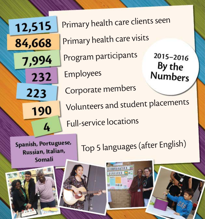Primary health care clients seen 12,515 Primary health care visits 84,668 Program participants 2015-2016 7,994 By the **Numbers** Employees 232 Corporate members 223 Volunteers and student placements 190 Full-service locations 4 Spanish, Portuguese, Top 5 languages (after English)Russian, Italian, Somali



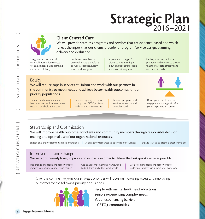# Strategic Plan



## Client Centred Care

We will provide seamless programs and services that are evidence-based and which reflect the input that our clients provide for program/service design, planning, delivery and evaluation.

Integrate and use internal and external information sources to guide needs-based planning and service delivery

#### Implement seamless and universal intake and referral to facilitate service/system access and navigation

Implement strategies for clients to give meaningful input on policies/protocols and services/programs

Review, assess and enhance programs and services to ensure that they are safe, effective and meet client needs

## **Equity**

We will reduce gaps in services at Unison and work with our partners in the community to meet needs and achieve better health outcomes for our priority populations.

Enhance and increase mental health services and substance use supports available at Unison

Increase capacity of Unison to support LGBTQ+ clients and community members

Enhance programs and services for seniors with complex needs



Develop and implement an engagement strategy with/for youth experiencing barriers

#### Stewardship and Optimization

We will improve health outcomes for clients and community members through responsible decision making and optimal use of our organizational resources.

Top 5 languages (after English) Engage and enable staff to use skills and talents Align agency resources to optimize effectiveness Engage staff to co-create a great workplace

#### Improvement and Change

We will continuously learn, improve and innovate in order to deliver the best quality services possible.

Use change management frameworks to improve our ability to undertake change

Use quality improvement frameworks to test, learn and adapt what we do

Use project management frameworks to undertake initiatives in a more systematic way

Over the coming five years our strategic priorities will focus on increasing access and improving outcomes for the following priority populations:



People with mental health and addictions Seniors experiencing complex needs Youth experiencing barriers LGBTQ+ communities

[ STR ATEGIC PRIORITIES ]

STRATEGIC

PRIORITIES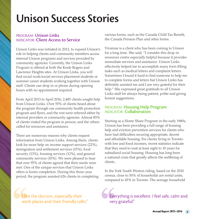# Unison Success Stories

#### PROGRAM: Unison Links INDICATOR: Client Access to Service

Unison Links was initiated in 2012, to expand Unison's role in helping clients and community members access internal Unison programs and services provided by community agencies. Currently, the Unison Links Program is offered at both the Keele Rogers and Lawrence Heights sites. At Unison Links, you will find social work/social services placement students or summer career students working together with Unison staff. Clients can drop in or phone during opening hours with no appointment required.

From April 2013 to April 2016, 2,485 clients sought help from Unison Links. Over 55% of clients heard about the program through our community health promotion program and flyers, and the rest were referred either by internal providers or community agencies. Almost 85% of clients visited the program in person; and the others called for resources and assistance.

There are numerous reasons why clients request information from Unison Links. Among them, clients look for more help on income support services (22%), immigration and settlement services (15%), food security (13%), housing services (12%), and general community services (10%). We were pleased to hear that over 95% of clients agreed that their needs were met. One of the unique services that Unison Links offers is forms completion. During this three-year period, the program assisted 626 clients in completing

I like the doctors, especially their work places and their friendly talks." various forms, such as the Canada Child Tax Benefit, the Canada Pension Plan and other forms.

Vivienne is a client who has been coming to Unison for a long time. She said, "I consider this drop-in resources centre especially helpful because it provides immediate services and assistance. Unison Links effectively helped me to accomplish many form filling tasks such as medical letters and complaint letters. Sometimes I found it hard to find someone to help me to complete forms and letters but Unison Links has definitely assisted me and I am very grateful for their help." She expressed great gratitude to all Unison Links staff for always being patient, polite and giving honest suggestions.

#### PROGRAM: Housing Help Program INDICATOR: Collaboration

Starting as a Home Share Program in the early 1980s, Unison has been providing a full range of housing help and eviction prevention services for clients who have had difficulties securing appropriate, decent and affordable housing. For clients living in Toronto with low and fixed incomes, recent statistics indicate that they need to wait at least eight to 10 years for subsidized social housing. Housing has long been a national crisis that greatly affects the wellbeing of clients.

In the York South-Weston riding, based on the 2010 census, close to 50% of households are rental units, compared to 45% in Toronto. The average household

Everything is excellent. I feel safe, calm and very grateful."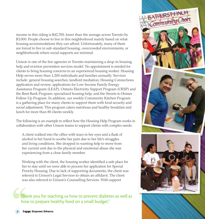income in this riding is \$42,700, lower than the average across Toronto by \$3,000. People choose to live in this neighborhood mainly based on what housing accommodations they can afford. Unfortunately, many of them are forced to live in sub-standard housing, overcrowded environments, or neighborhoods where social supports are minimal.

Unison is one of the few agencies in Toronto maintaining a drop-in housing help and eviction prevention services model. No appointment is needed for clients to bring housing concerns to an experienced housing worker. Housing Help serves more than 1,200 individuals and families annually. Services include: general housing searches; landlord mediation; Housing Connections application and review; applications for Low-Income Family Energy Assistance Program (LEAP), Ontario Electricity Support Program (OESP) and the Rent Bank Program; specialized housing help; and the Streets to Homes Follow-Up Program. In addition, our weekly Community Kitchen Program is a gathering place for many clients to support them with food security and social adjustment. This program caters nutritious and healthy breakfast and lunch for more than 80 clients weekly.

The following is an example to reflect how the Housing Help Program works in collaboration with other Unison teams to support clients with complex needs:

A client walked into the office with tears in her eyes and a flask of alcohol in her hand to soothe her pain due to her life's struggles and living conditions. She dropped in wanting help to move from her current unit due to the physical and emotional abuse she was experiencing from a close family member.

Working with the client, the housing worker identified a safe place for her to stay until we were able to process her application for Special Priority Housing. Due to lack of supporting documents, the client was referred to Unison's Legal Services to obtain an affidavit. The client was also referred to Unison's Counselling Services. With support

Thank you for teaching us how to prevent diabetes as well as how to prepare healthy food on a small budget."

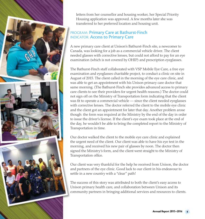

letters from her counsellor and housing worker, her Special Priority Housing application was approved. A few months later she was transferred to her preferred location and housing unit.

#### PROGRAM: Primary Care at Bathurst-Finch INDICATOR: Access to Primary Care

A new primary care client at Unison's Bathurst-Finch site, a newcomer to Canada, was looking for a job as a commercial vehicle driver. The client needed glasses with corrective lenses, but could not afford to pay for an eye examination (which is not covered by OHIP) and prescription eyeglasses.

The Bathurst-Finch staff collaborated with VSP Mobile Eye Care, a free eye examination and eyeglasses charitable project, to conduct a clinic on site in August of 2015. The client called in the morning of the eye care clinic, and was able to get an appointment with his Unison primary care doctor that same morning. (The Bathurst-Finch site provides advanced access to primary care clients to see their providers for urgent health reasons.) The doctor could not sign off on the Ministry of Transportation form indicating that the client was fit to operate a commercial vehicle — since the client needed eyeglasses with corrective lenses. The doctor referred the client to the mobile eye clinic and the client got an appointment for later that day. Another problem arose though: the form was required at the Ministry by the end of the day in order to issue the driver's license. If the client's eye exam took place at the end of the day, he wouldn't be able to bring the completed report to the Ministry of Transportation in time.

Our doctor walked the client to the mobile eye care clinic and explained the urgent need of the client. Our client was able to have his eye test in the morning, and received his new pair of glasses by noon. The doctor then signed the Ministry's form, and the client went straight to the Ministry of Transportation office.

Our client was very thankful for the help he received from Unison, the doctor and partners of the eye clinic. Good luck to our client in his endeavour to settle in a new country with a "clear" path!

The success of this story was attributed to both the client's easy access to Unison primary health care, and collaboration between Unison and its community partners in bringing additional services and resources to clients.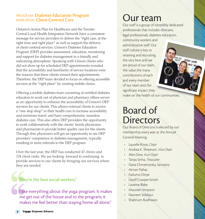#### PROGRAM: Diabetes Education Program INDICATOR: Client-Centred Care

Ontario's Action Plan for Healthcare and the Toronto Central Local Health Integration Network have a consistent message for service providers to deliver the "right care, at the right time and right place" as well as support the delivery of client-centred services. Unison's Diabetes Education Program (DEP) provides assessment, education, monitoring and support for diabetes management in a friendly and welcoming atmosphere. Speaking with Unison clients who did not show up for scheduled DEP appointments revealed that the accessibility and familiarity of service locations were the reasons that these clients missed their appointments. Therefore, the DEP team decided to focus on offering accessible services at the "right place" by creating mobile clinics.

Offering a mobile diabetes team consisting of certified diabetes educators to work out of physician and pharmacy offices serves as an opportunity to enhance the accessibility of Unison's DEP services for our clients. This allows external clients to receive a "one-stop shop" in their health care to increase accessibility and minimize travel, and have comprehensive, seamless diabetes care. This also offers DEP providers the opportunity to work collaboratively with the clients' family physicians and pharmacists to provide better quality care for the clients. Through this, physicians will get an opportunity to see DEP providers' competence in diabetes management, typically resulting in more referrals to the DEP program.

Over the last year, the DEP has conducted 47 clinics and 174 client visits. We are looking forward to continuing to provide services to our clients by bringing our services where they are needed.

#### They're the best social workers."

I like everything about the yoga program. It makes me get out of the house and to the program; it makes me feel better than staying home all alone."

## Our team

Our staff is a group of incredibly dedicated professionals that includes clinicians, legal professionals, diabetes educators,

atche idea

community workers and administrative staff. Our staff culture is key to retaining and recruiting the very best and we are proud of our team. We value the many contributions of each and every member of our team and the significant impact they make on the health of our communities.

## Board of **Directors**

Our Board of Directors is elected by our membership every year at the Annual General Meeting.

- Laurelle Knox, *Chair*
- Andrea K. Shreeram, *Vice-Chair*
- Alex Dow, *Vice-Chair*
- Tanya Sinha, *Treasurer*
- Dana Chmelnistsky, *Secretary*
- Aiman Flahat
- Fadumo Diriye
- Geoff Cowper-Smith
- Laverne Blake
- Maureen Simpson
- Naureen Siddiqui
- Shabnum Budhwani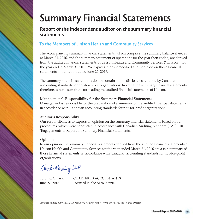# Summary Financial Statements

### Report of the independent auditor on the summary financial statements

## To the Members of Unison Health and Community Services

The accompanying summary financial statements, which comprise the summary balance sheet as at March 31, 2016, and the summary statement of operations for the year then ended, are derived from the audited financial statements of Unison Health and Community Services ("Unison") for the year ended March 31, 2016. We expressed an unmodified audit opinion on those financial statements in our report dated June 27, 2016.

The summary financial statements do not contain all the disclosures required by Canadian accounting standards for not-for-profit organizations. Reading the summary financial statements therefore, is not a substitute for reading the audited financial statements of Unison.

#### Management's Responsibility for the Summary Financial Statements

Management is responsible for the preparation of a summary of the audited financial statements in accordance with Canadian accounting standards for not-for-profit organizations.

#### Auditor's Responsibility

Our responsibility is to express an opinion on the summary financial statements based on our procedures, which were conducted in accordance with Canadian Auditing Standard (CAS) 810, "Engagements to Report on Summary Financial Statements."

#### Opinion

In our opinion, the summary financial statements derived from the audited financial statements of Unison Health and Community Services for the year ended March 31, 2016 are a fair summary of those financial statements, in accordance with Canadian accounting standards for not-for-profit organizations.

Clarke Derning LLP

Toronto, Ontario CHARTERED ACCOUNTANTS June 27, 2016 Licensed Public Accountants

*Complete audited financial statements available upon request from the office of the Finance Director.*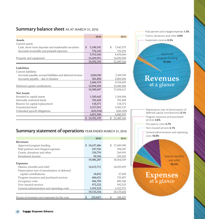#### Summary balance sheet AS AT MARCH 31, 2016

|                                                            | 2016             | 2015             |
|------------------------------------------------------------|------------------|------------------|
| Assets                                                     |                  |                  |
| Current assets                                             |                  |                  |
| Cash, short-term deposits and marketable securities        | \$.<br>5,180,101 | \$<br>7,643,375  |
| Accounts receivable and prepaid expenses                   | 732,143          | 791,291          |
|                                                            | 5,912,244        | 8,434,666        |
| Property and equipment                                     | 13,439,951       | 14,050,500       |
|                                                            | 19,352,195       | 22,485,166       |
|                                                            |                  |                  |
| Liabilities                                                |                  |                  |
| Current liabilities                                        |                  |                  |
| Accounts payable, accrued liabilities and deferred revenue | 2,024,520        | 2,109,109        |
| Accounts payable - due to funders                          | 381,858          | 2,809,496        |
|                                                            | 2,406,378        | 4,918,605        |
| Deferred capital contributions                             | 12,094,309       | 12,686,006       |
|                                                            | 14,500,687       | 17,604,611       |
| <b>Net Assets</b>                                          |                  |                  |
| Invested in capital assets                                 | 1,345,642        | 1,364,494        |
| Internally restricted funds                                | 702,458          | 702,458          |
| Reserve for capital replacement                            | 118,371          | 118,371          |
| Unrestricted fund                                          | 3,317,591        | 3,302,137        |
| Unfunded payroll obligations                               | (632, 554)       | (606, 905)       |
|                                                            | 4,851,508        | 4,880,555        |
|                                                            | 19,352,195<br>\$ | 22,485,166<br>\$ |

#### Summary statement of operations YEAR ENDED MARCH 31, 2016

|                                               | 2016              | 2015             |
|-----------------------------------------------|-------------------|------------------|
| <b>Revenues</b>                               |                   |                  |
| Approved program funding                      | 18,637,486<br>\$. | \$<br>17,689,990 |
| Hub partners and charged expenses             | 247,936           | 294,947          |
| Grants, donations and other                   | 150,759           | 269,991          |
| Investment income                             | 50,106            | 109,101          |
|                                               | 19,086,287        | 18,364,029       |
| <b>Expenses</b>                               |                   |                  |
| Salaries, benefits and relief                 | 14,613,711        | 14,033,659       |
| Depreciation (net of amortization of deferred |                   |                  |
| capital contributions)                        | 18,852            | 27,450           |
| Program resources and purchased services      | 686,631           | 723,457          |
| Occupancy costs                               | 904,789           | 885,540          |
| Non-insured services                          | 972,222           | 592,525          |
| General administration and operating costs    | 1,919,129         | 1,912,971        |
|                                               | 19,115,334        | 18,175,602       |
|                                               |                   |                  |
| Excess of revenues over expenses for the year | (29, 047)         | 188,427          |

Investment income 0.3% Approved program funding 97.6%

Hub partners and charged expenses 1.3% Grants, donations and other 0.8%

## **Revenues** at a glance

Depreciation (net of amortization of deferred capital contributions) 0.1% Program resources and purchased services 3.6% Occupancy costs 4.7% Non-insured services 5.1% General administration and operating costs 10.0%

> Salaries, benefits and relief 76.5%

## **Expenses** at a glance